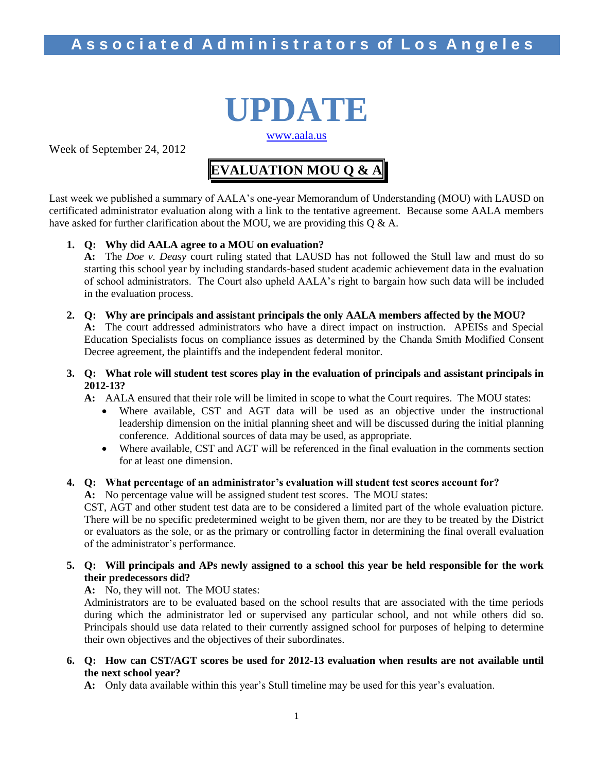# **UPDATE** [www.aala.us](http://www.aala.us/)

Week of September 24, 2012

# **EVALUATION MOU Q & A**

Last week we published a summary of AALA's one-year Memorandum of Understanding (MOU) with LAUSD on certificated administrator evaluation along with a link to the tentative agreement. Because some AALA members have asked for further clarification about the MOU, we are providing this Q & A.

#### **1. Q: Why did AALA agree to a MOU on evaluation?**

**A:** The *Doe v. Deasy* court ruling stated that LAUSD has not followed the Stull law and must do so starting this school year by including standards-based student academic achievement data in the evaluation of school administrators. The Court also upheld AALA's right to bargain how such data will be included in the evaluation process.

**2. Q: Why are principals and assistant principals the only AALA members affected by the MOU?**

**A:** The court addressed administrators who have a direct impact on instruction. APEISs and Special Education Specialists focus on compliance issues as determined by the Chanda Smith Modified Consent Decree agreement, the plaintiffs and the independent federal monitor.

**3. Q: What role will student test scores play in the evaluation of principals and assistant principals in 2012-13?**

**A:** AALA ensured that their role will be limited in scope to what the Court requires. The MOU states:

- Where available, CST and AGT data will be used as an objective under the instructional leadership dimension on the initial planning sheet and will be discussed during the initial planning conference. Additional sources of data may be used, as appropriate.
- Where available, CST and AGT will be referenced in the final evaluation in the comments section for at least one dimension.

#### **4. Q: What percentage of an administrator's evaluation will student test scores account for?**

**A:** No percentage value will be assigned student test scores. The MOU states:

CST, AGT and other student test data are to be considered a limited part of the whole evaluation picture. There will be no specific predetermined weight to be given them, nor are they to be treated by the District or evaluators as the sole, or as the primary or controlling factor in determining the final overall evaluation of the administrator's performance.

#### **5. Q: Will principals and APs newly assigned to a school this year be held responsible for the work their predecessors did?**

**A:** No, they will not. The MOU states:

Administrators are to be evaluated based on the school results that are associated with the time periods during which the administrator led or supervised any particular school, and not while others did so. Principals should use data related to their currently assigned school for purposes of helping to determine their own objectives and the objectives of their subordinates.

**6. Q: How can CST/AGT scores be used for 2012-13 evaluation when results are not available until the next school year?**

**A:** Only data available within this year's Stull timeline may be used for this year's evaluation.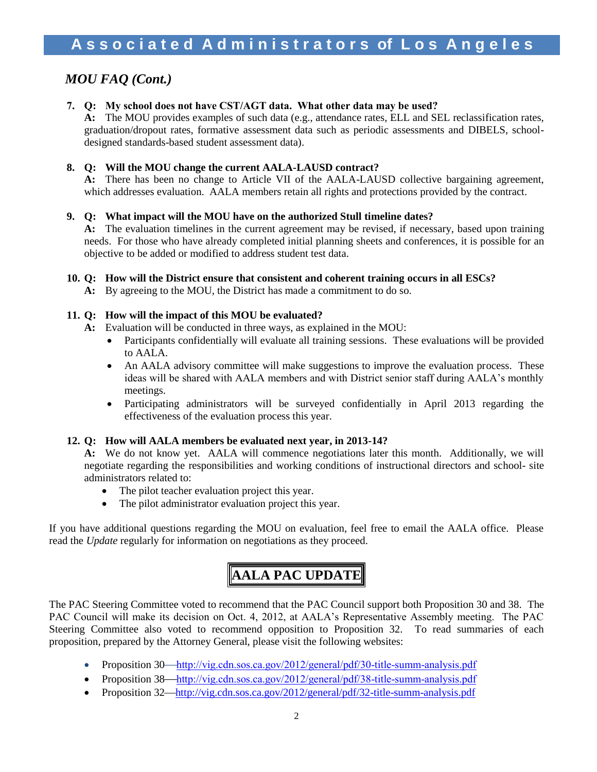### *MOU FAQ (Cont.)*

#### **7. Q: My school does not have CST/AGT data. What other data may be used?**

**A:** The MOU provides examples of such data (e.g., attendance rates, ELL and SEL reclassification rates, graduation/dropout rates, formative assessment data such as periodic assessments and DIBELS, schooldesigned standards-based student assessment data).

#### **8. Q: Will the MOU change the current AALA-LAUSD contract?**

**A:** There has been no change to Article VII of the AALA-LAUSD collective bargaining agreement, which addresses evaluation. AALA members retain all rights and protections provided by the contract.

#### **9. Q: What impact will the MOU have on the authorized Stull timeline dates?**

**A:** The evaluation timelines in the current agreement may be revised, if necessary, based upon training needs. For those who have already completed initial planning sheets and conferences, it is possible for an objective to be added or modified to address student test data.

#### **10. Q: How will the District ensure that consistent and coherent training occurs in all ESCs?**

**A:** By agreeing to the MOU, the District has made a commitment to do so.

#### **11. Q: How will the impact of this MOU be evaluated?**

- **A:** Evaluation will be conducted in three ways, as explained in the MOU:
	- Participants confidentially will evaluate all training sessions. These evaluations will be provided to AALA.
	- An AALA advisory committee will make suggestions to improve the evaluation process. These ideas will be shared with AALA members and with District senior staff during AALA's monthly meetings.
	- Participating administrators will be surveyed confidentially in April 2013 regarding the effectiveness of the evaluation process this year.

#### **12. Q: How will AALA members be evaluated next year, in 2013-14?**

**A:** We do not know yet. AALA will commence negotiations later this month. Additionally, we will negotiate regarding the responsibilities and working conditions of instructional directors and school- site administrators related to:

- The pilot teacher evaluation project this year.
- The pilot administrator evaluation project this year.

If you have additional questions regarding the MOU on evaluation, feel free to email the AALA office. Please read the *Update* regularly for information on negotiations as they proceed.

# **AALA PAC UPDATE**

The PAC Steering Committee voted to recommend that the PAC Council support both Proposition 30 and 38. The PAC Council will make its decision on Oct. 4, 2012, at AALA's Representative Assembly meeting. The PAC Steering Committee also voted to recommend opposition to Proposition 32. To read summaries of each proposition, prepared by the Attorney General, please visit the following websites:

- Proposition  $30$ —<http://vig.cdn.sos.ca.gov/2012/general/pdf/30-title-summ-analysis.pdf>
- Proposition  $38$ —<http://vig.cdn.sos.ca.gov/2012/general/pdf/38-title-summ-analysis.pdf>
- Proposition 32—<http://vig.cdn.sos.ca.gov/2012/general/pdf/32-title-summ-analysis.pdf>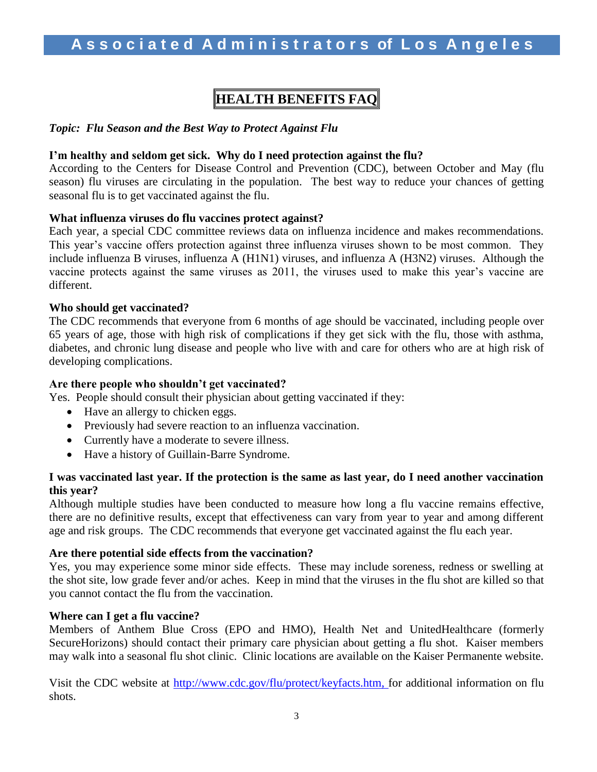## **HEALTH BENEFITS FAQ**

#### *Topic: Flu Season and the Best Way to Protect Against Flu*

#### **I'm healthy and seldom get sick. Why do I need protection against the flu?**

According to the Centers for Disease Control and Prevention (CDC), between October and May (flu season) flu viruses are circulating in the population. The best way to reduce your chances of getting seasonal flu is to get vaccinated against the flu.

#### **What influenza viruses do flu vaccines protect against?**

Each year, a special CDC committee reviews data on influenza incidence and makes recommendations. This year's vaccine offers protection against three influenza viruses shown to be most common. They include influenza B viruses, influenza A (H1N1) viruses, and influenza A (H3N2) viruses. Although the vaccine protects against the same viruses as 2011, the viruses used to make this year's vaccine are different.

#### **Who should get vaccinated?**

The CDC recommends that everyone from 6 months of age should be vaccinated, including people over 65 years of age, those with high risk of complications if they get sick with the flu, those with asthma, diabetes, and chronic lung disease and people who live with and care for others who are at high risk of developing complications.

#### **Are there people who shouldn't get vaccinated?**

Yes. People should consult their physician about getting vaccinated if they:

- Have an allergy to chicken eggs.
- Previously had severe reaction to an influenza vaccination.
- Currently have a moderate to severe illness.
- Have a history of Guillain-Barre Syndrome.

#### **I was vaccinated last year. If the protection is the same as last year, do I need another vaccination this year?**

Although multiple studies have been conducted to measure how long a flu vaccine remains effective, there are no definitive results, except that effectiveness can vary from year to year and among different age and risk groups. The CDC recommends that everyone get vaccinated against the flu each year.

#### **Are there potential side effects from the vaccination?**

Yes, you may experience some minor side effects. These may include soreness, redness or swelling at the shot site, low grade fever and/or aches. Keep in mind that the viruses in the flu shot are killed so that you cannot contact the flu from the vaccination.

#### **Where can I get a flu vaccine?**

Members of Anthem Blue Cross (EPO and HMO), Health Net and UnitedHealthcare (formerly SecureHorizons) should contact their primary care physician about getting a flu shot. Kaiser members may walk into a seasonal flu shot clinic. Clinic locations are available on the Kaiser Permanente website.

Visit the CDC website at [http://www.cdc.gov/flu/protect/keyfacts.htm,](http://www.cdc.gov/flu/protect/keyfacts.htm) for additional information on flu shots.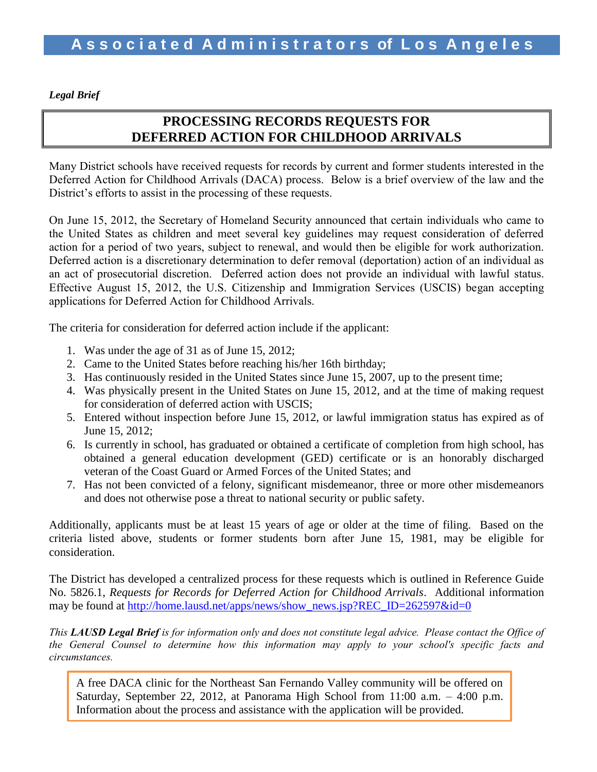*Legal Brief*

### **PROCESSING RECORDS REQUESTS FOR DEFERRED ACTION FOR CHILDHOOD ARRIVALS**

Many District schools have received requests for records by current and former students interested in the Deferred Action for Childhood Arrivals (DACA) process. Below is a brief overview of the law and the District's efforts to assist in the processing of these requests.

On June 15, 2012, the Secretary of Homeland Security announced that certain individuals who came to the United States as children and meet several key guidelines may request consideration of deferred action for a period of two years, subject to renewal, and would then be eligible for work authorization. Deferred action is a discretionary determination to defer removal (deportation) action of an individual as an act of prosecutorial discretion. Deferred action does not provide an individual with lawful status. Effective August 15, 2012, the U.S. Citizenship and Immigration Services (USCIS) began accepting applications for Deferred Action for Childhood Arrivals.

The criteria for consideration for deferred action include if the applicant:

- 1. Was under the age of 31 as of June 15, 2012;
- 2. Came to the United States before reaching his/her 16th birthday;
- 3. Has continuously resided in the United States since June 15, 2007, up to the present time;
- 4. Was physically present in the United States on June 15, 2012, and at the time of making request for consideration of deferred action with USCIS;
- 5. Entered without inspection before June 15, 2012, or lawful immigration status has expired as of June 15, 2012;
- 6. Is currently in school, has graduated or obtained a certificate of completion from high school, has obtained a general education development (GED) certificate or is an honorably discharged veteran of the Coast Guard or Armed Forces of the United States; and
- 7. Has not been convicted of a felony, significant misdemeanor, three or more other misdemeanors and does not otherwise pose a threat to national security or public safety.

Additionally, applicants must be at least 15 years of age or older at the time of filing. Based on the criteria listed above, students or former students born after June 15, 1981, may be eligible for consideration.

The District has developed a centralized process for these requests which is outlined in Reference Guide No. 5826.1, *Requests for Records for Deferred Action for Childhood Arrivals*. Additional information may be found at [http://home.lausd.net/apps/news/show\\_news.jsp?REC\\_ID=262597&id=0](http://home.lausd.net/apps/news/show_news.jsp?REC_ID=262597&id=0)

*This LAUSD Legal Brief is for information only and does not constitute legal advice. Please contact the Office of the General Counsel to determine how this information may apply to your school's specific facts and circumstances.*

4 Information about the process and assistance with the application will be provided.A free DACA clinic for the Northeast San Fernando Valley community will be offered on Saturday, September 22, 2012, at Panorama High School from 11:00 a.m. – 4:00 p.m.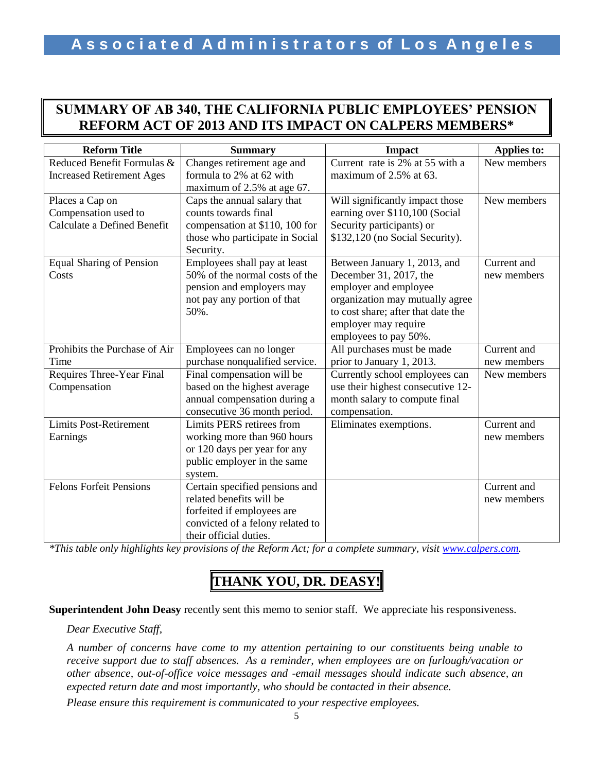### **SUMMARY OF AB 340, THE CALIFORNIA PUBLIC EMPLOYEES' PENSION REFORM ACT OF 2013 AND ITS IMPACT ON CALPERS MEMBERS\***

| <b>Reform Title</b>              | <b>Summary</b>                   | <b>Impact</b>                      | <b>Applies to:</b> |
|----------------------------------|----------------------------------|------------------------------------|--------------------|
| Reduced Benefit Formulas &       | Changes retirement age and       | Current rate is 2% at 55 with a    | New members        |
| <b>Increased Retirement Ages</b> | formula to 2% at 62 with         | maximum of 2.5% at 63.             |                    |
|                                  | maximum of 2.5% at age 67.       |                                    |                    |
| Places a Cap on                  | Caps the annual salary that      | Will significantly impact those    | New members        |
| Compensation used to             | counts towards final             | earning over \$110,100 (Social     |                    |
| Calculate a Defined Benefit      | compensation at \$110, 100 for   | Security participants) or          |                    |
|                                  | those who participate in Social  | \$132,120 (no Social Security).    |                    |
|                                  | Security.                        |                                    |                    |
| <b>Equal Sharing of Pension</b>  | Employees shall pay at least     | Between January 1, 2013, and       | Current and        |
| Costs                            | 50% of the normal costs of the   | December 31, 2017, the             | new members        |
|                                  | pension and employers may        | employer and employee              |                    |
|                                  | not pay any portion of that      | organization may mutually agree    |                    |
|                                  | 50%.                             | to cost share; after that date the |                    |
|                                  |                                  | employer may require               |                    |
|                                  |                                  | employees to pay 50%.              |                    |
| Prohibits the Purchase of Air    | Employees can no longer          | All purchases must be made         | Current and        |
| Time                             | purchase nonqualified service.   | prior to January 1, 2013.          | new members        |
| Requires Three-Year Final        | Final compensation will be       | Currently school employees can     | New members        |
| Compensation                     | based on the highest average     | use their highest consecutive 12-  |                    |
|                                  | annual compensation during a     | month salary to compute final      |                    |
|                                  | consecutive 36 month period.     | compensation.                      |                    |
| <b>Limits Post-Retirement</b>    | Limits PERS retirees from        | Eliminates exemptions.             | Current and        |
| Earnings                         | working more than 960 hours      |                                    | new members        |
|                                  | or 120 days per year for any     |                                    |                    |
|                                  | public employer in the same      |                                    |                    |
|                                  | system.                          |                                    |                    |
| <b>Felons Forfeit Pensions</b>   | Certain specified pensions and   |                                    | Current and        |
|                                  | related benefits will be         |                                    | new members        |
|                                  | forfeited if employees are       |                                    |                    |
|                                  | convicted of a felony related to |                                    |                    |
|                                  | their official duties.           |                                    |                    |

*\*This table only highlights key provisions of the Reform Act; for a complete summary, visi[t www.calpers.com.](http://www.calpers.com/)*

# **THANK YOU, DR. DEASY!**

**Superintendent John Deasy** recently sent this memo to senior staff. We appreciate his responsiveness.

*Dear Executive Staff,*

*A number of concerns have come to my attention pertaining to our constituents being unable to receive support due to staff absences. As a reminder, when employees are on furlough/vacation or other absence, out-of-office voice messages and -email messages should indicate such absence, an expected return date and most importantly, who should be contacted in their absence.*

*Please ensure this requirement is communicated to your respective employees.*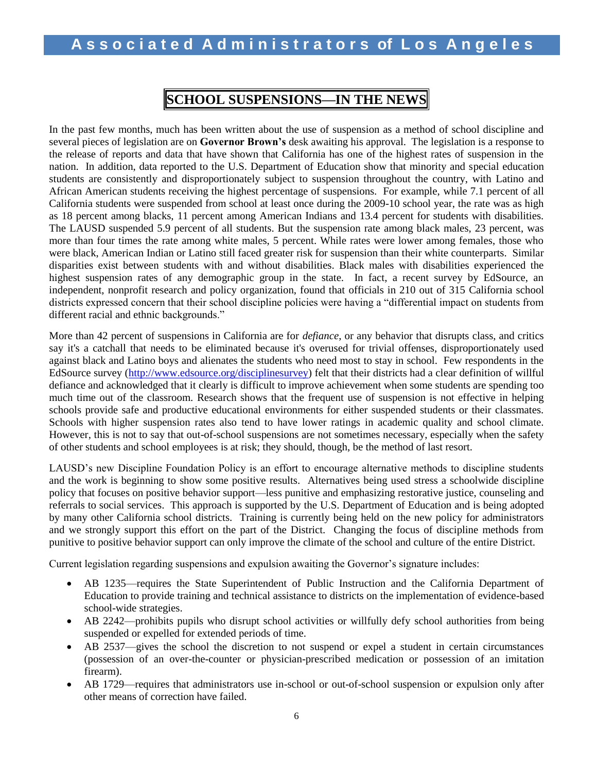### **SCHOOL SUSPENSIONS—IN THE NEWS**

In the past few months, much has been written about the use of suspension as a method of school discipline and several pieces of legislation are on **Governor Brown's** desk awaiting his approval. The legislation is a response to the release of reports and data that have shown that California has one of the highest rates of suspension in the nation. In addition, data reported to the U.S. Department of Education show that minority and special education students are consistently and disproportionately subject to suspension throughout the country, with Latino and African American students receiving the highest percentage of suspensions. For example, while 7.1 percent of all California students were suspended from school at least once during the 2009-10 school year, the rate was as high as 18 percent among blacks, 11 percent among American Indians and 13.4 percent for students with disabilities. The LAUSD suspended 5.9 percent of all students. But the suspension rate among black males, 23 percent, was more than four times the rate among white males, 5 percent. While rates were lower among females, those who were black, American Indian or Latino still faced greater risk for suspension than their white counterparts. Similar disparities exist between students with and without disabilities. Black males with disabilities experienced the highest suspension rates of any demographic group in the state. In fact, a recent survey by EdSource, an independent, nonprofit research and policy organization, found that officials in 210 out of 315 California school districts expressed concern that their school discipline policies were having a "differential impact on students from different racial and ethnic backgrounds."

More than 42 percent of suspensions in California are for *defiance*, or any behavior that disrupts class, and critics say it's a catchall that needs to be eliminated because it's overused for trivial offenses, disproportionately used against black and Latino boys and alienates the students who need most to stay in school. Few respondents in the EdSource survey [\(http://www.edsource.org/disciplinesurvey\)](http://www.edsource.org/disciplinesurvey) felt that their districts had a clear definition of willful defiance and acknowledged that it clearly is difficult to improve achievement when some students are spending too much time out of the classroom. Research shows that the frequent use of suspension is not effective in helping schools provide safe and productive educational environments for either suspended students or their classmates. Schools with higher suspension rates also [tend to have lower ratings](http://civilrightsproject.ucla.edu/research/k-12-education/school-discipline/suspended-education-urban-middle-schools-in-crisis) in academic quality and school climate. However, this is not to say that out-of-school suspensions are not sometimes necessary, especially when the safety of other students and school employees is at risk; they should, though, be the method of last resort.

LAUSD's new Discipline Foundation Policy is an effort to encourage alternative methods to discipline students and the work is beginning to show some positive results. Alternatives being used stress a schoolwide discipline policy that focuses on positive behavior support—less punitive and emphasizing restorative justice, counseling and referrals to social services. This approach is supported by the U.S. Department of Education and is being adopted by many other California school districts. Training is currently being held on the new policy for administrators and we strongly support this effort on the part of the District. Changing the focus of discipline methods from punitive to positive behavior support can only improve the climate of the school and culture of the entire District.

Current legislation regarding suspensions and expulsion awaiting the Governor's signature includes:

- AB 1235—requires the State Superintendent of Public Instruction and the California Department of Education to provide training and technical assistance to districts on the implementation of evidence-based school-wide strategies.
- AB 2242—prohibits pupils who disrupt school activities or willfully defy school authorities from being suspended or expelled for extended periods of time.
- AB 2537—gives the school the discretion to not suspend or expel a student in certain circumstances (possession of an over-the-counter or physician-prescribed medication or possession of an imitation firearm).
- AB 1729—requires that administrators use in-school or out-of-school suspension or expulsion only after other means of correction have failed.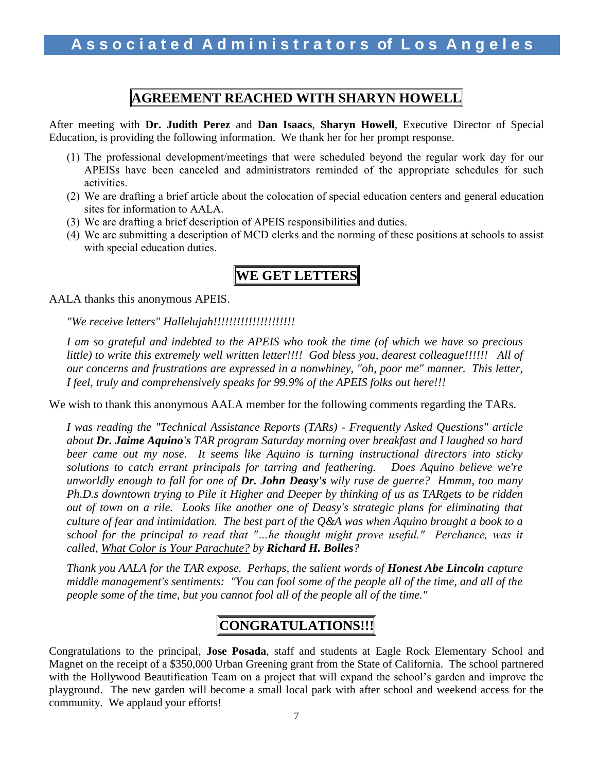### **AGREEMENT REACHED WITH SHARYN HOWELL**

After meeting with **Dr. Judith Perez** and **Dan Isaacs**, **Sharyn Howell**, Executive Director of Special Education, is providing the following information. We thank her for her prompt response.

- (1) The professional development/meetings that were scheduled beyond the regular work day for our APEISs have been canceled and administrators reminded of the appropriate schedules for such activities.
- (2) We are drafting a brief article about the colocation of special education centers and general education sites for information to AALA.
- (3) We are drafting a brief description of APEIS responsibilities and duties.
- (4) We are submitting a description of MCD clerks and the norming of these positions at schools to assist with special education duties.

# **WE GET LETTERS**

AALA thanks this anonymous APEIS.

*"We receive letters" Hallelujah!!!!!!!!!!!!!!!!!!!!!*

*I am so grateful and indebted to the APEIS who took the time (of which we have so precious little) to write this extremely well written letter!!!! God bless you, dearest colleague!!!!!! All of our concerns and frustrations are expressed in a nonwhiney, "oh, poor me" manner. This letter, I feel, truly and comprehensively speaks for 99.9% of the APEIS folks out here!!!*

We wish to thank this anonymous AALA member for the following comments regarding the TARs.

*I was reading the "Technical Assistance Reports (TARs) - Frequently Asked Questions" article about Dr. Jaime Aquino's TAR program Saturday morning over breakfast and I laughed so hard beer came out my nose. It seems like Aquino is turning instructional directors into sticky solutions to catch errant principals for tarring and feathering. Does Aquino believe we're unworldly enough to fall for one of Dr. John Deasy's wily ruse de guerre? Hmmm, too many Ph.D.s downtown trying to Pile it Higher and Deeper by thinking of us as TARgets to be ridden out of town on a rile. Looks like another one of Deasy's strategic plans for eliminating that culture of fear and intimidation. The best part of the Q&A was when Aquino brought a book to a school for the principal to read that "…he thought might prove useful." Perchance, was it called, What Color is Your Parachute? by Richard H. Bolles?*

*Thank you AALA for the TAR expose. Perhaps, the salient words of Honest Abe Lincoln capture middle management's sentiments: "You can fool some of the people all of the time, and all of the people some of the time, but you cannot fool all of the people all of the time."*

## **CONGRATULATIONS!!!**

Congratulations to the principal, **Jose Posada**, staff and students at Eagle Rock Elementary School and Magnet on the receipt of a \$350,000 Urban Greening grant from the State of California. The school partnered with the Hollywood Beautification Team on a project that will expand the school's garden and improve the playground. The new garden will become a small local park with after school and weekend access for the community. We applaud your efforts!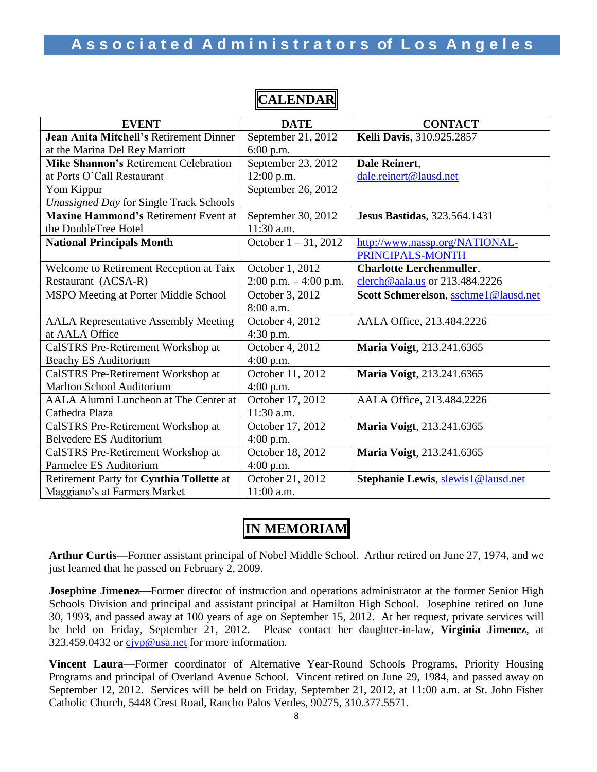| <b>EVENT</b>                                   | <b>DATE</b>                  | <b>CONTACT</b>                       |  |  |  |  |
|------------------------------------------------|------------------------------|--------------------------------------|--|--|--|--|
| Jean Anita Mitchell's Retirement Dinner        | September 21, 2012           | Kelli Davis, 310.925.2857            |  |  |  |  |
| at the Marina Del Rey Marriott                 | $6:00$ p.m.                  |                                      |  |  |  |  |
| <b>Mike Shannon's Retirement Celebration</b>   | September 23, 2012           | Dale Reinert,                        |  |  |  |  |
| at Ports O'Call Restaurant                     | 12:00 p.m.                   | dale.reinert@lausd.net               |  |  |  |  |
| Yom Kippur                                     | September 26, 2012           |                                      |  |  |  |  |
| <b>Unassigned Day for Single Track Schools</b> |                              |                                      |  |  |  |  |
| <b>Maxine Hammond's Retirement Event at</b>    | September 30, 2012           | <b>Jesus Bastidas</b> , 323.564.1431 |  |  |  |  |
| the DoubleTree Hotel                           | 11:30 a.m.                   |                                      |  |  |  |  |
| <b>National Principals Month</b>               | October 1-31, 2012           | http://www.nassp.org/NATIONAL-       |  |  |  |  |
|                                                |                              | PRINCIPALS-MONTH                     |  |  |  |  |
| Welcome to Retirement Reception at Taix        | October 1, 2012              | <b>Charlotte Lerchenmuller,</b>      |  |  |  |  |
| Restaurant (ACSA-R)                            | $2:00$ p.m. $-4:00$ p.m.     | clerch@aala.us or 213.484.2226       |  |  |  |  |
| MSPO Meeting at Porter Middle School           | October 3, 2012              | Scott Schmerelson, sschme1@lausd.net |  |  |  |  |
|                                                | 8:00 a.m.                    |                                      |  |  |  |  |
| <b>AALA Representative Assembly Meeting</b>    | October 4, $20\overline{12}$ | AALA Office, 213.484.2226            |  |  |  |  |
| at AALA Office                                 | 4:30 p.m.                    |                                      |  |  |  |  |
| CalSTRS Pre-Retirement Workshop at             | October 4, 2012              | Maria Voigt, 213.241.6365            |  |  |  |  |
| <b>Beachy ES Auditorium</b>                    | $4:00$ p.m.                  |                                      |  |  |  |  |
| CalSTRS Pre-Retirement Workshop at             | October 11, 2012             | Maria Voigt, 213.241.6365            |  |  |  |  |
| <b>Marlton School Auditorium</b>               | $4:00$ p.m.                  |                                      |  |  |  |  |
| AALA Alumni Luncheon at The Center at          | October 17, 2012             | AALA Office, 213.484.2226            |  |  |  |  |
| Cathedra Plaza                                 | 11:30 a.m.                   |                                      |  |  |  |  |
| CalSTRS Pre-Retirement Workshop at             | October 17, 2012             | Maria Voigt, 213.241.6365            |  |  |  |  |
| <b>Belvedere ES Auditorium</b>                 | $4:00$ p.m.                  |                                      |  |  |  |  |
| CalSTRS Pre-Retirement Workshop at             | October 18, 2012             | Maria Voigt, 213.241.6365            |  |  |  |  |
| Parmelee ES Auditorium                         | $4:00$ p.m.                  |                                      |  |  |  |  |
| Retirement Party for Cynthia Tollette at       | October 21, 2012             | Stephanie Lewis, slewis1@lausd.net   |  |  |  |  |
| Maggiano's at Farmers Market                   | 11:00 a.m.                   |                                      |  |  |  |  |

**CALENDAR**

### **IN MEMORIAM**

**Arthur Curtis—**Former assistant principal of Nobel Middle School. Arthur retired on June 27, 1974, and we just learned that he passed on February 2, 2009.

**Josephine Jimenez—Former director of instruction and operations administrator at the former Senior High** Schools Division and principal and assistant principal at Hamilton High School. Josephine retired on June 30, 1993, and passed away at 100 years of age on September 15, 2012. At her request, private services will be held on Friday, September 21, 2012. Please contact her daughter-in-law, **Virginia Jimenez**, at 323.459.0432 or civp@usa.net for more information.

**Vincent Laura—**Former coordinator of Alternative Year-Round Schools Programs, Priority Housing Programs and principal of Overland Avenue School. Vincent retired on June 29, 1984, and passed away on September 12, 2012. Services will be held on Friday, September 21, 2012, at 11:00 a.m. at St. John Fisher Catholic Church, 5448 Crest Road, Rancho Palos Verdes, 90275, 310.377.5571.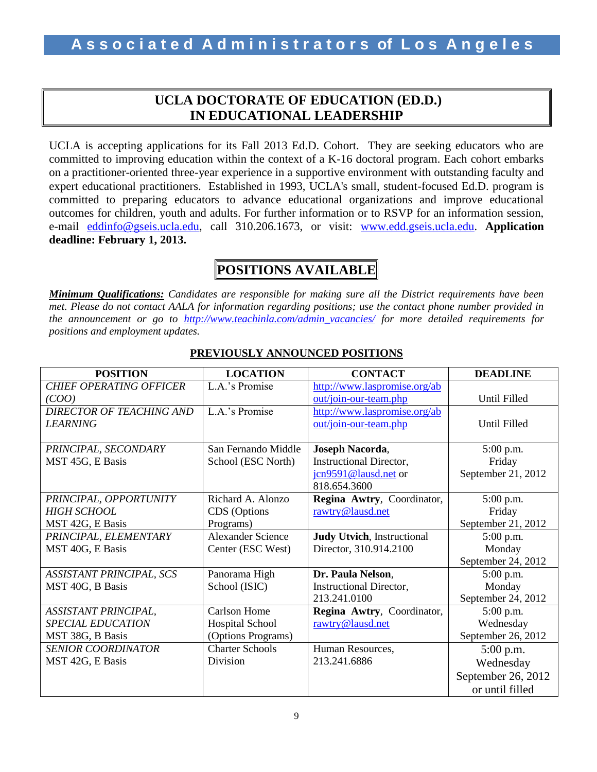### **UCLA DOCTORATE OF EDUCATION (ED.D.) IN EDUCATIONAL LEADERSHIP**

UCLA is accepting applications for its Fall 2013 Ed.D. Cohort. They are seeking educators who are committed to improving education within the context of a K-16 doctoral program. Each cohort embarks on a practitioner-oriented three-year experience in a supportive environment with outstanding faculty and expert educational practitioners. Established in 1993, UCLA's small, student-focused Ed.D. program is committed to preparing educators to advance educational organizations and improve educational outcomes for children, youth and adults. For further information or to RSVP for an information session, e-mail [eddinfo@gseis.ucla.edu,](mailto:eddinfo@gseis.ucla.edu) call 310.206.1673, or visit: [www.edd.gseis.ucla.edu.](http://www.edd.gseis.ucla.edu/) **Application deadline: February 1, 2013.**

## **POSITIONS AVAILABLE**

*Minimum Qualifications: Candidates are responsible for making sure all the District requirements have been met. Please do not contact AALA for information regarding positions; use the contact phone number provided in the announcement or go to [http://www.teachinla.com/admin\\_vacancies/](http://www.teachinla.com/admin_vacancies/) for more detailed requirements for positions and employment updates.*

| <b>POSITION</b>                 | <b>LOCATION</b>          | <b>CONTACT</b>                     | <b>DEADLINE</b>    |
|---------------------------------|--------------------------|------------------------------------|--------------------|
| <b>CHIEF OPERATING OFFICER</b>  | L.A.'s Promise           | http://www.laspromise.org/ab       |                    |
| (COO)                           |                          | out/join-our-team.php              | Until Filled       |
| <b>DIRECTOR OF TEACHING AND</b> | L.A.'s Promise           | http://www.laspromise.org/ab       |                    |
| <b>LEARNING</b>                 |                          | out/join-our-team.php              | Until Filled       |
|                                 |                          |                                    |                    |
| PRINCIPAL, SECONDARY            | San Fernando Middle      | Joseph Nacorda,                    | 5:00 p.m.          |
| MST 45G, E Basis                | School (ESC North)       | <b>Instructional Director,</b>     | Friday             |
|                                 |                          | jcn9591@lausd.net or               | September 21, 2012 |
|                                 |                          | 818.654.3600                       |                    |
| PRINCIPAL, OPPORTUNITY          | Richard A. Alonzo        | Regina Awtry, Coordinator,         | 5:00 p.m.          |
| <b>HIGH SCHOOL</b>              | CDS (Options             | rawtry@lausd.net                   | Friday             |
| MST 42G, E Basis                | Programs)                |                                    | September 21, 2012 |
| PRINCIPAL, ELEMENTARY           | <b>Alexander Science</b> | <b>Judy Utvich</b> , Instructional | 5:00 p.m.          |
| MST 40G, E Basis                | Center (ESC West)        | Director, 310.914.2100             | Monday             |
|                                 |                          |                                    | September 24, 2012 |
| <b>ASSISTANT PRINCIPAL, SCS</b> | Panorama High            | Dr. Paula Nelson,                  | $5:00$ p.m.        |
| MST 40G, B Basis                | School (ISIC)            | Instructional Director,            | Monday             |
|                                 |                          | 213.241.0100                       | September 24, 2012 |
| ASSISTANT PRINCIPAL,            | <b>Carlson Home</b>      | Regina Awtry, Coordinator,         | $5:00$ p.m.        |
| <b>SPECIAL EDUCATION</b>        | Hospital School          | rawtry@lausd.net                   | Wednesday          |
| MST 38G, B Basis                | (Options Programs)       |                                    | September 26, 2012 |
| <b>SENIOR COORDINATOR</b>       | <b>Charter Schools</b>   | Human Resources,                   | 5:00 p.m.          |
| MST 42G, E Basis                | Division                 | 213.241.6886                       | Wednesday          |
|                                 |                          |                                    | September 26, 2012 |
|                                 |                          |                                    | or until filled    |

### **PREVIOUSLY ANNOUNCED POSITIONS**